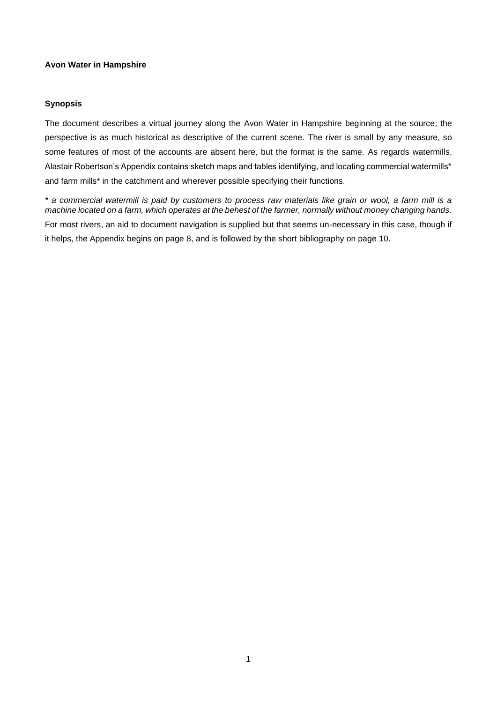#### **Avon Water in Hampshire**

### **Synopsis**

The document describes a virtual journey along the Avon Water in Hampshire beginning at the source; the perspective is as much historical as descriptive of the current scene. The river is small by any measure, so some features of most of the accounts are absent here, but the format is the same. As regards watermills, Alastair Robertson's Appendix contains sketch maps and tables identifying, and locating commercial watermills\* and farm mills\* in the catchment and wherever possible specifying their functions.

*\* a commercial watermill is paid by customers to process raw materials like grain or wool, a farm mill is a machine located on a farm, which operates at the behest of the farmer, normally without money changing hands.* For most rivers, an aid to document navigation is supplied but that seems un-necessary in this case, though if it helps, the Appendix begins on page 8, and is followed by the short bibliography on page 10.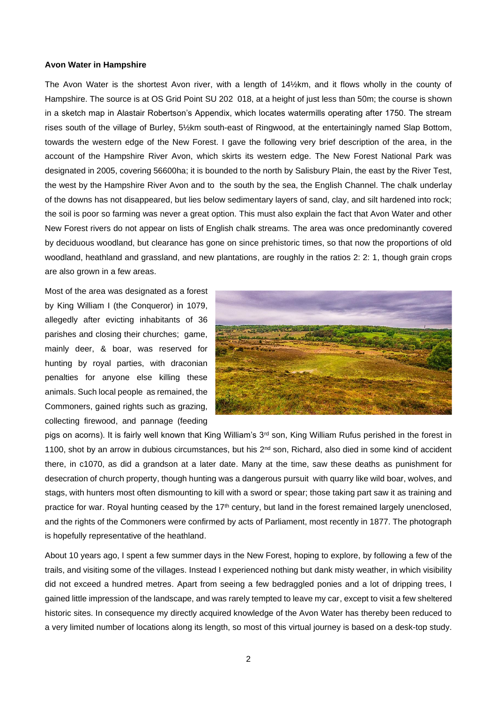#### **Avon Water in Hampshire**

The Avon Water is the shortest Avon river, with a length of 14½km, and it flows wholly in the county of Hampshire. The source is at OS Grid Point SU 202 018, at a height of just less than 50m; the course is shown in a sketch map in Alastair Robertson's Appendix, which locates watermills operating after 1750. The stream rises south of the village of Burley, 5½km south-east of Ringwood, at the entertainingly named Slap Bottom, towards the western edge of the New Forest. I gave the following very brief description of the area, in the account of the Hampshire River Avon, which skirts its western edge. The New Forest National Park was designated in 2005, covering 56600ha; it is bounded to the north by Salisbury Plain, the east by the River Test, the west by the Hampshire River Avon and to the south by the sea, the English Channel. The chalk underlay of the downs has not disappeared, but lies below sedimentary layers of sand, clay, and silt hardened into rock; the soil is poor so farming was never a great option. This must also explain the fact that Avon Water and other New Forest rivers do not appear on lists of English chalk streams. The area was once predominantly covered by deciduous woodland, but clearance has gone on since prehistoric times, so that now the proportions of old woodland, heathland and grassland, and new plantations, are roughly in the ratios 2: 2: 1, though grain crops are also grown in a few areas.

Most of the area was designated as a forest by King William I (the Conqueror) in 1079, allegedly after evicting inhabitants of 36 parishes and closing their churches; game, mainly deer, & boar, was reserved for hunting by royal parties, with draconian penalties for anyone else killing these animals. Such local people as remained, the Commoners, gained rights such as grazing, collecting firewood, and pannage (feeding



pigs on acorns). It is fairly well known that King William's 3<sup>rd</sup> son, King William Rufus perished in the forest in 1100, shot by an arrow in dubious circumstances, but his 2<sup>nd</sup> son, Richard, also died in some kind of accident there, in c1070, as did a grandson at a later date. Many at the time, saw these deaths as punishment for desecration of church property, though hunting was a dangerous pursuit with quarry like wild boar, wolves, and stags, with hunters most often dismounting to kill with a sword or spear; those taking part saw it as training and practice for war. Royal hunting ceased by the 17<sup>th</sup> century, but land in the forest remained largely unenclosed, and the rights of the Commoners were confirmed by acts of Parliament, most recently in 1877. The photograph is hopefully representative of the heathland.

About 10 years ago, I spent a few summer days in the New Forest, hoping to explore, by following a few of the trails, and visiting some of the villages. Instead I experienced nothing but dank misty weather, in which visibility did not exceed a hundred metres. Apart from seeing a few bedraggled ponies and a lot of dripping trees, I gained little impression of the landscape, and was rarely tempted to leave my car, except to visit a few sheltered historic sites. In consequence my directly acquired knowledge of the Avon Water has thereby been reduced to a very limited number of locations along its length, so most of this virtual journey is based on a desk-top study.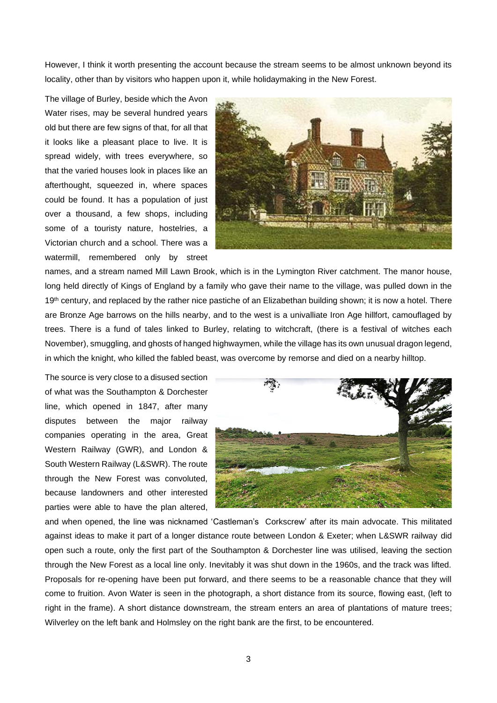However, I think it worth presenting the account because the stream seems to be almost unknown beyond its locality, other than by visitors who happen upon it, while holidaymaking in the New Forest.

The village of Burley, beside which the Avon Water rises, may be several hundred years old but there are few signs of that, for all that it looks like a pleasant place to live. It is spread widely, with trees everywhere, so that the varied houses look in places like an afterthought, squeezed in, where spaces could be found. It has a population of just over a thousand, a few shops, including some of a touristy nature, hostelries, a Victorian church and a school. There was a watermill, remembered only by street



names, and a stream named Mill Lawn Brook, which is in the Lymington River catchment. The manor house, long held directly of Kings of England by a family who gave their name to the village, was pulled down in the 19<sup>th</sup> century, and replaced by the rather nice pastiche of an Elizabethan building shown; it is now a hotel. There are Bronze Age barrows on the hills nearby, and to the west is a univalliate Iron Age hillfort, camouflaged by trees. There is a fund of tales linked to Burley, relating to witchcraft, (there is a festival of witches each November), smuggling, and ghosts of hanged highwaymen, while the village has its own unusual dragon legend, in which the knight, who killed the fabled beast, was overcome by remorse and died on a nearby hilltop.

The source is very close to a disused section of what was the Southampton & Dorchester line, which opened in 1847, after many disputes between the major railway companies operating in the area, Great Western Railway (GWR), and London & South Western Railway (L&SWR). The route through the New Forest was convoluted, because landowners and other interested parties were able to have the plan altered,



and when opened, the line was nicknamed 'Castleman's Corkscrew' after its main advocate. This militated against ideas to make it part of a longer distance route between London & Exeter; when L&SWR railway did open such a route, only the first part of the Southampton & Dorchester line was utilised, leaving the section through the New Forest as a local line only. Inevitably it was shut down in the 1960s, and the track was lifted. Proposals for re-opening have been put forward, and there seems to be a reasonable chance that they will come to fruition. Avon Water is seen in the photograph, a short distance from its source, flowing east, (left to right in the frame). A short distance downstream, the stream enters an area of plantations of mature trees; Wilverley on the left bank and Holmsley on the right bank are the first, to be encountered.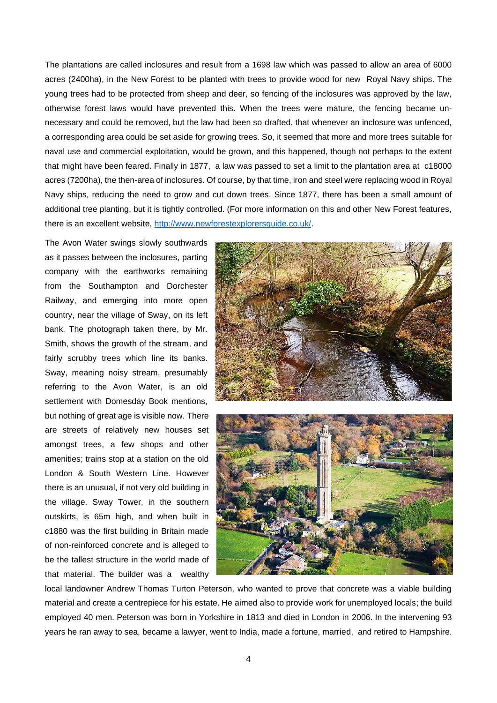The plantations are called inclosures and result from a 1698 law which was passed to allow an area of 6000 acres (2400ha), in the New Forest to be planted with trees to provide wood for new Royal Navy ships. The young trees had to be protected from sheep and deer, so fencing of the inclosures was approved by the law, otherwise forest laws would have prevented this. When the trees were mature, the fencing became unnecessary and could be removed, but the law had been so drafted, that whenever an inclosure was unfenced, a corresponding area could be set aside for growing trees. So, it seemed that more and more trees suitable for naval use and commercial exploitation, would be grown, and this happened, though not perhaps to the extent that might have been feared. Finally in 1877, a law was passed to set a limit to the plantation area at c18000 acres (7200ha), the then-area of inclosures. Of course, by that time, iron and steel were replacing wood in Royal Navy ships, reducing the need to grow and cut down trees. Since 1877, there has been a small amount of additional tree planting, but it is tightly controlled. (For more information on this and other New Forest features, there is an excellent website, [http://www.newforestexplorersguide.co.uk/.](http://www.newforestexplorersguide.co.uk/)

The Avon Water swings slowly southwards as it passes between the inclosures, parting company with the earthworks remaining from the Southampton and Dorchester Railway, and emerging into more open country, near the village of Sway, on its left bank. The photograph taken there, by Mr. Smith, shows the growth of the stream, and fairly scrubby trees which line its banks. Sway, meaning noisy stream, presumably referring to the Avon Water, is an old settlement with Domesday Book mentions, but nothing of great age is visible now. There are streets of relatively new houses set amongst trees, a few shops and other amenities; trains stop at a station on the old London & South Western Line. However there is an unusual, if not very old building in the village. Sway Tower, in the southern outskirts, is 65m high, and when built in c1880 was the first building in Britain made of non-reinforced concrete and is alleged to be the tallest structure in the world made of that material. The builder was a wealthy





local landowner Andrew Thomas Turton Peterson, who wanted to prove that concrete was a viable building material and create a centrepiece for his estate. He aimed also to provide work for unemployed locals; the build employed 40 men. Peterson was born in Yorkshire in 1813 and died in London in 2006. In the intervening 93 years he ran away to sea, became a lawyer, went to India, made a fortune, married, and retired to Hampshire.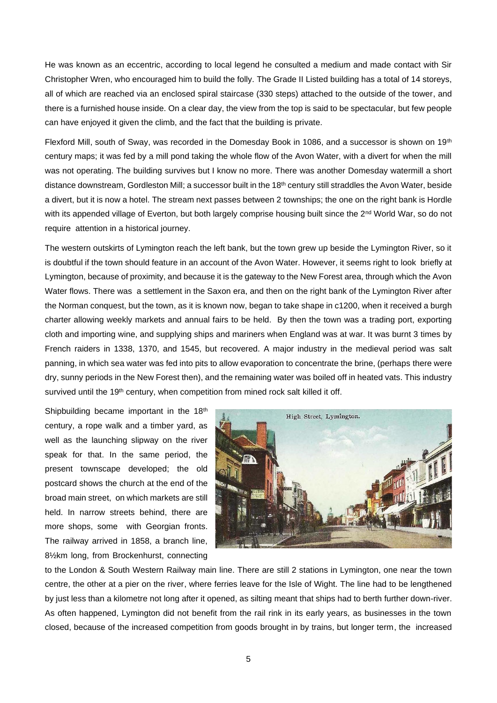He was known as an eccentric, according to local legend he consulted a medium and made contact with Sir Christopher Wren, who encouraged him to build the folly. The Grade II Listed building has a total of 14 storeys, all of which are reached via an enclosed spiral staircase (330 steps) attached to the outside of the tower, and there is a furnished house inside. On a clear day, the view from the top is said to be spectacular, but few people can have enjoyed it given the climb, and the fact that the building is private.

Flexford Mill, south of Sway, was recorded in the Domesday Book in 1086, and a successor is shown on 19<sup>th</sup> century maps; it was fed by a mill pond taking the whole flow of the Avon Water, with a divert for when the mill was not operating. The building survives but I know no more. There was another Domesday watermill a short distance downstream, Gordleston Mill; a successor built in the 18<sup>th</sup> century still straddles the Avon Water, beside a divert, but it is now a hotel. The stream next passes between 2 townships; the one on the right bank is Hordle with its appended village of Everton, but both largely comprise housing built since the 2<sup>nd</sup> World War, so do not require attention in a historical journey.

The western outskirts of Lymington reach the left bank, but the town grew up beside the Lymington River, so it is doubtful if the town should feature in an account of the Avon Water. However, it seems right to look briefly at Lymington, because of proximity, and because it is the gateway to the New Forest area, through which the Avon Water flows. There was a settlement in the Saxon era, and then on the right bank of the Lymington River after the Norman conquest, but the town, as it is known now, began to take shape in c1200, when it received a burgh charter allowing weekly markets and annual fairs to be held. By then the town was a trading port, exporting cloth and importing wine, and supplying ships and mariners when England was at war. It was burnt 3 times by French raiders in 1338, 1370, and 1545, but recovered. A major industry in the medieval period was salt panning, in which sea water was fed into pits to allow evaporation to concentrate the brine, (perhaps there were dry, sunny periods in the New Forest then), and the remaining water was boiled off in heated vats. This industry survived until the 19<sup>th</sup> century, when competition from mined rock salt killed it off.

Shipbuilding became important in the 18<sup>th</sup> century, a rope walk and a timber yard, as well as the launching slipway on the river speak for that. In the same period, the present townscape developed; the old postcard shows the church at the end of the broad main street, on which markets are still held. In narrow streets behind, there are more shops, some with Georgian fronts. The railway arrived in 1858, a branch line, 8½km long, from Brockenhurst, connecting



to the London & South Western Railway main line. There are still 2 stations in Lymington, one near the town centre, the other at a pier on the river, where ferries leave for the Isle of Wight. The line had to be lengthened by just less than a kilometre not long after it opened, as silting meant that ships had to berth further down-river. As often happened, Lymington did not benefit from the rail rink in its early years, as businesses in the town closed, because of the increased competition from goods brought in by trains, but longer term, the increased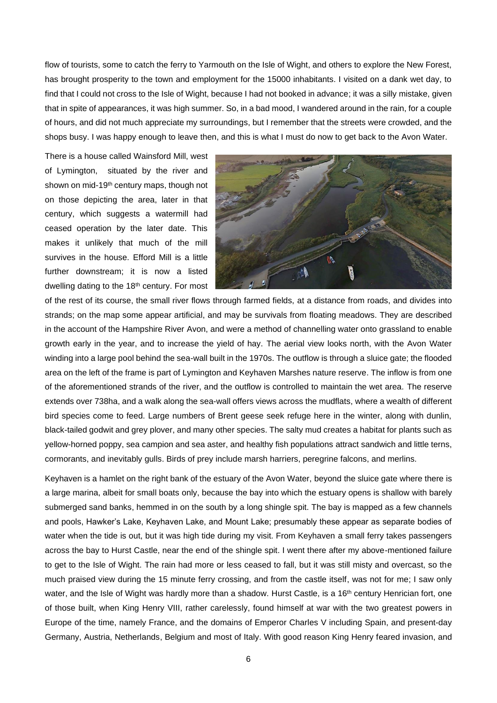flow of tourists, some to catch the ferry to Yarmouth on the Isle of Wight, and others to explore the New Forest, has brought prosperity to the town and employment for the 15000 inhabitants. I visited on a dank wet day, to find that I could not cross to the Isle of Wight, because I had not booked in advance; it was a silly mistake, given that in spite of appearances, it was high summer. So, in a bad mood, I wandered around in the rain, for a couple of hours, and did not much appreciate my surroundings, but I remember that the streets were crowded, and the shops busy. I was happy enough to leave then, and this is what I must do now to get back to the Avon Water.

There is a house called Wainsford Mill, west of Lymington, situated by the river and shown on mid-19<sup>th</sup> century maps, though not on those depicting the area, later in that century, which suggests a watermill had ceased operation by the later date. This makes it unlikely that much of the mill survives in the house. Efford Mill is a little further downstream; it is now a listed dwelling dating to the 18<sup>th</sup> century. For most



of the rest of its course, the small river flows through farmed fields, at a distance from roads, and divides into strands; on the map some appear artificial, and may be survivals from floating meadows. They are described in the account of the Hampshire River Avon, and were a method of channelling water onto grassland to enable growth early in the year, and to increase the yield of hay. The aerial view looks north, with the Avon Water winding into a large pool behind the sea-wall built in the 1970s. The outflow is through a sluice gate; the flooded area on the left of the frame is part of Lymington and Keyhaven Marshes nature reserve. The inflow is from one of the aforementioned strands of the river, and the outflow is controlled to maintain the wet area. The reserve extends over 738ha, and a walk along the sea-wall offers views across the mudflats, where a wealth of different bird species come to feed. Large numbers of Brent geese seek refuge here in the winter, along with dunlin, black-tailed godwit and grey plover, and many other species. The salty mud creates a habitat for plants such as yellow-horned poppy, sea campion and sea aster, and healthy fish populations attract sandwich and little terns, cormorants, and inevitably gulls. Birds of prey include marsh harriers, peregrine falcons, and merlins.

Keyhaven is a hamlet on the right bank of the estuary of the Avon Water, beyond the sluice gate where there is a large marina, albeit for small boats only, because the bay into which the estuary opens is shallow with barely submerged sand banks, hemmed in on the south by a long shingle spit. The bay is mapped as a few channels and pools, Hawker's Lake, Keyhaven Lake, and Mount Lake; presumably these appear as separate bodies of water when the tide is out, but it was high tide during my visit. From Keyhaven a small ferry takes passengers across the bay to Hurst Castle, near the end of the shingle spit. I went there after my above-mentioned failure to get to the Isle of Wight. The rain had more or less ceased to fall, but it was still misty and overcast, so the much praised view during the 15 minute ferry crossing, and from the castle itself, was not for me; I saw only water, and the Isle of Wight was hardly more than a shadow. Hurst Castle, is a 16<sup>th</sup> century Henrician fort, one of those built, when King Henry VIII, rather carelessly, found himself at war with the two greatest powers in Europe of the time, namely France, and the domains of Emperor Charles V including Spain, and present-day Germany, Austria, Netherlands, Belgium and most of Italy. With good reason King Henry feared invasion, and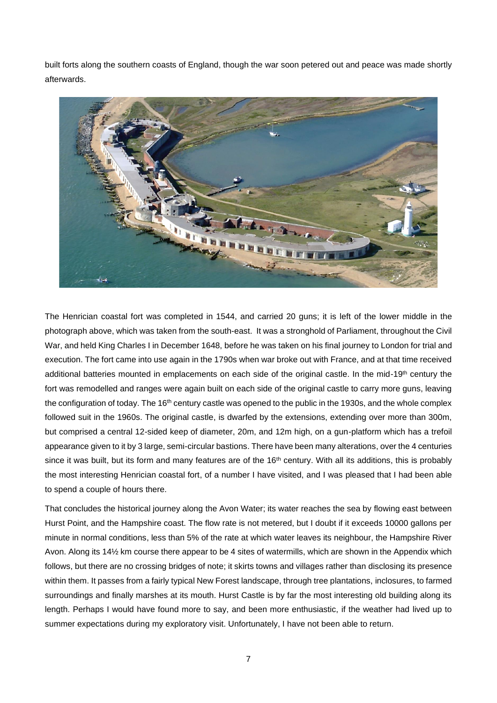built forts along the southern coasts of England, though the war soon petered out and peace was made shortly afterwards.



The Henrician coastal fort was completed in 1544, and carried 20 guns; it is left of the lower middle in the photograph above, which was taken from the south-east. It was a stronghold of Parliament, throughout the Civil War, and held King Charles I in December 1648, before he was taken on his final journey to London for trial and execution. The fort came into use again in the 1790s when war broke out with France, and at that time received additional batteries mounted in emplacements on each side of the original castle. In the mid-19<sup>th</sup> century the fort was remodelled and ranges were again built on each side of the original castle to carry more guns, leaving the configuration of today. The 16<sup>th</sup> century castle was opened to the public in the 1930s, and the whole complex followed suit in the 1960s. The original castle, is dwarfed by the extensions, extending over more than 300m, but comprised a central 12-sided keep of diameter, 20m, and 12m high, on a gun-platform which has a trefoil appearance given to it by 3 large, semi-circular bastions. There have been many alterations, over the 4 centuries since it was built, but its form and many features are of the 16<sup>th</sup> century. With all its additions, this is probably the most interesting Henrician coastal fort, of a number I have visited, and I was pleased that I had been able to spend a couple of hours there.

That concludes the historical journey along the Avon Water; its water reaches the sea by flowing east between Hurst Point, and the Hampshire coast. The flow rate is not metered, but I doubt if it exceeds 10000 gallons per minute in normal conditions, less than 5% of the rate at which water leaves its neighbour, the Hampshire River Avon. Along its 14½ km course there appear to be 4 sites of watermills, which are shown in the Appendix which follows, but there are no crossing bridges of note; it skirts towns and villages rather than disclosing its presence within them. It passes from a fairly typical New Forest landscape, through tree plantations, inclosures, to farmed surroundings and finally marshes at its mouth. Hurst Castle is by far the most interesting old building along its length. Perhaps I would have found more to say, and been more enthusiastic, if the weather had lived up to summer expectations during my exploratory visit. Unfortunately, I have not been able to return.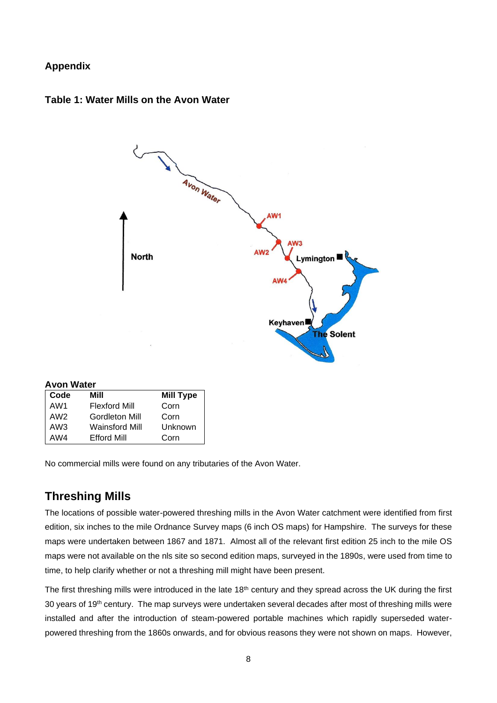## **Appendix**





| <b>Avon Water</b>  |                  |  |  |  |
|--------------------|------------------|--|--|--|
| Mill               | <b>Mill Type</b> |  |  |  |
| Flexford Mill      | Corn             |  |  |  |
| Gordleton Mill     | Corn             |  |  |  |
| Wainsford Mill     | Unknown          |  |  |  |
| <b>Efford Mill</b> | Corn             |  |  |  |
|                    |                  |  |  |  |

No commercial mills were found on any tributaries of the Avon Water.

# **Threshing Mills**

The locations of possible water-powered threshing mills in the Avon Water catchment were identified from first edition, six inches to the mile Ordnance Survey maps (6 inch OS maps) for Hampshire. The surveys for these maps were undertaken between 1867 and 1871. Almost all of the relevant first edition 25 inch to the mile OS maps were not available on the nls site so second edition maps, surveyed in the 1890s, were used from time to time, to help clarify whether or not a threshing mill might have been present.

The first threshing mills were introduced in the late 18<sup>th</sup> century and they spread across the UK during the first 30 years of 19<sup>th</sup> century. The map surveys were undertaken several decades after most of threshing mills were installed and after the introduction of steam-powered portable machines which rapidly superseded waterpowered threshing from the 1860s onwards, and for obvious reasons they were not shown on maps. However,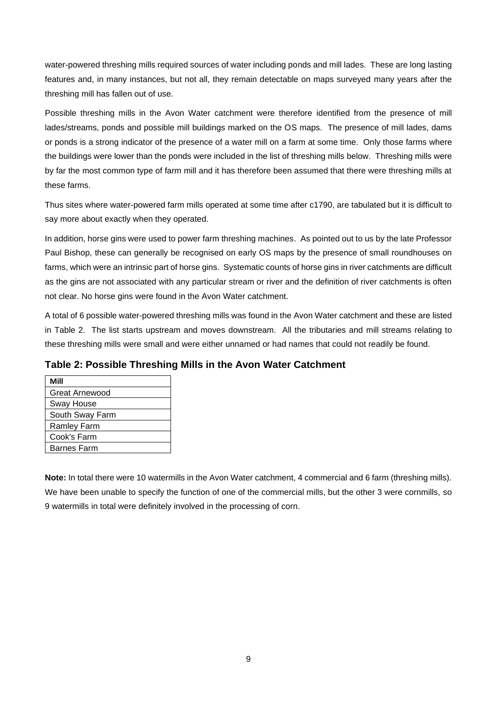water-powered threshing mills required sources of water including ponds and mill lades. These are long lasting features and, in many instances, but not all, they remain detectable on maps surveyed many years after the threshing mill has fallen out of use.

Possible threshing mills in the Avon Water catchment were therefore identified from the presence of mill lades/streams, ponds and possible mill buildings marked on the OS maps. The presence of mill lades, dams or ponds is a strong indicator of the presence of a water mill on a farm at some time. Only those farms where the buildings were lower than the ponds were included in the list of threshing mills below. Threshing mills were by far the most common type of farm mill and it has therefore been assumed that there were threshing mills at these farms.

Thus sites where water-powered farm mills operated at some time after c1790, are tabulated but it is difficult to say more about exactly when they operated.

In addition, horse gins were used to power farm threshing machines. As pointed out to us by the late Professor Paul Bishop, these can generally be recognised on early OS maps by the presence of small roundhouses on farms, which were an intrinsic part of horse gins. Systematic counts of horse gins in river catchments are difficult as the gins are not associated with any particular stream or river and the definition of river catchments is often not clear. No horse gins were found in the Avon Water catchment.

A total of 6 possible water-powered threshing mills was found in the Avon Water catchment and these are listed in Table 2. The list starts upstream and moves downstream. All the tributaries and mill streams relating to these threshing mills were small and were either unnamed or had names that could not readily be found.

| Mill               |
|--------------------|
| Great Arnewood     |
| <b>Sway House</b>  |
| South Sway Farm    |
| <b>Ramley Farm</b> |
| Cook's Farm        |
| <b>Barnes Farm</b> |
|                    |

## **Table 2: Possible Threshing Mills in the Avon Water Catchment**

**Note:** In total there were 10 watermills in the Avon Water catchment, 4 commercial and 6 farm (threshing mills). We have been unable to specify the function of one of the commercial mills, but the other 3 were cornmills, so 9 watermills in total were definitely involved in the processing of corn.